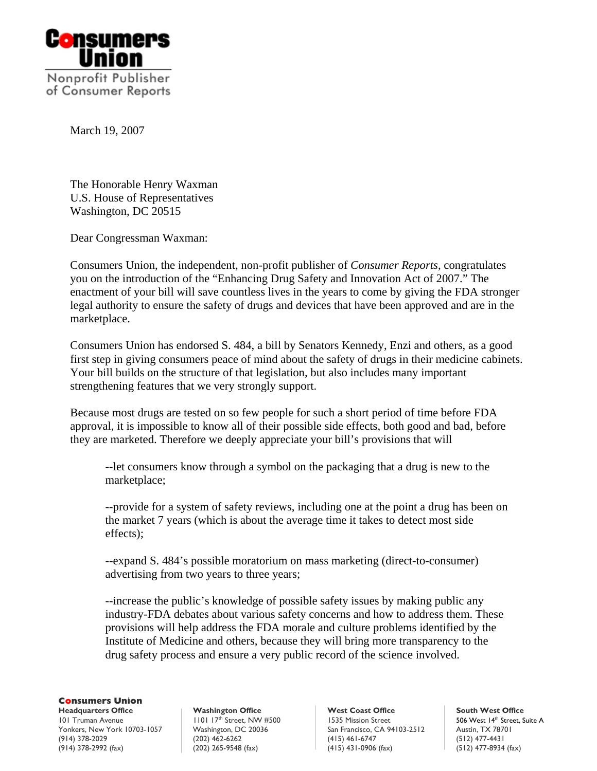

March 19, 2007

The Honorable Henry Waxman U.S. House of Representatives Washington, DC 20515

Dear Congressman Waxman:

Consumers Union, the independent, non-profit publisher of *Consumer Reports*, congratulates you on the introduction of the "Enhancing Drug Safety and Innovation Act of 2007." The enactment of your bill will save countless lives in the years to come by giving the FDA stronger legal authority to ensure the safety of drugs and devices that have been approved and are in the marketplace.

Consumers Union has endorsed S. 484, a bill by Senators Kennedy, Enzi and others, as a good first step in giving consumers peace of mind about the safety of drugs in their medicine cabinets. Your bill builds on the structure of that legislation, but also includes many important strengthening features that we very strongly support.

Because most drugs are tested on so few people for such a short period of time before FDA approval, it is impossible to know all of their possible side effects, both good and bad, before they are marketed. Therefore we deeply appreciate your bill's provisions that will

--let consumers know through a symbol on the packaging that a drug is new to the marketplace;

--provide for a system of safety reviews, including one at the point a drug has been on the market 7 years (which is about the average time it takes to detect most side effects);

--expand S. 484's possible moratorium on mass marketing (direct-to-consumer) advertising from two years to three years;

--increase the public's knowledge of possible safety issues by making public any industry-FDA debates about various safety concerns and how to address them. These provisions will help address the FDA morale and culture problems identified by the Institute of Medicine and others, because they will bring more transparency to the drug safety process and ensure a very public record of the science involved.

## **Consumers Union**

101 Truman Avenue 1101 17<sup>th</sup> Street, NW #500 1535 Mission Street 506 West 14<sup>th</sup> Street, Suite A Yonkers, New York 10703-1057 Washington, DC 20036 San Francisco, CA 94103-2512 Austin, TX 78701<br>(914) 378-2029 (12) 477-4431 (415) 461-6747 (512) 477-4431 (914) 378-2992 (fax) (202) 265-9548 (fax) (415) 431-0906 (fax) (512) 477-8934 (fax)

**Headquarters Office** Washington Office West Coast Office South West Office South West Office South West Office (202) 462-6262 (415) 461-6747